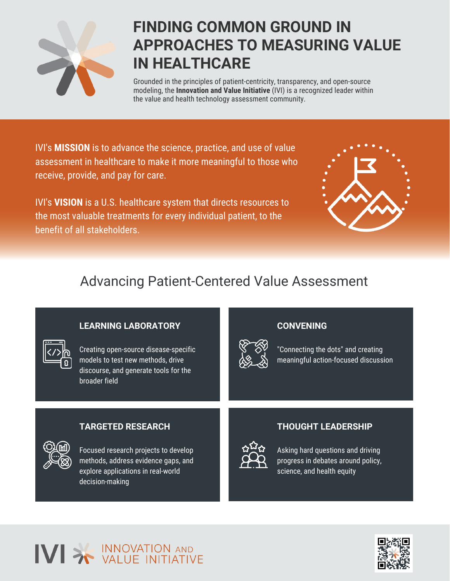

## **FINDING COMMON GROUND IN APPROACHES TO MEASURING VALUE IN HEALTHCARE**

Grounded in the principles of patient-centricity, transparency, and open-source modeling, the **Innovation and Value Initiative** (IVI) is a recognized leader within the value and health technology assessment community.

IVI's **MISSION** is to advance the science, practice, and use of value assessment in healthcare to make it more meaningful to those who receive, provide, and pay for care.

IVI's **VISION** is a U.S. healthcare system that directs resources to the most valuable treatments for every individual patient, to the benefit of all stakeholders.



### Advancing Patient-Centered Value Assessment

#### **LEARNING LABORATORY**



Creating open-source disease-specific models to test new methods, drive discourse, and generate tools for the broader field

#### **CONVENING**



"Connecting the dots" and creating meaningful action-focused discussion

#### **TARGETED RESEARCH**



Focused research projects to develop methods, address evidence gaps, and explore applications in real-world decision-making

#### **THOUGHT LEADERSHIP**



Asking hard questions and driving progress in debates around policy, science, and health equity

### INNOVATION AND IVI